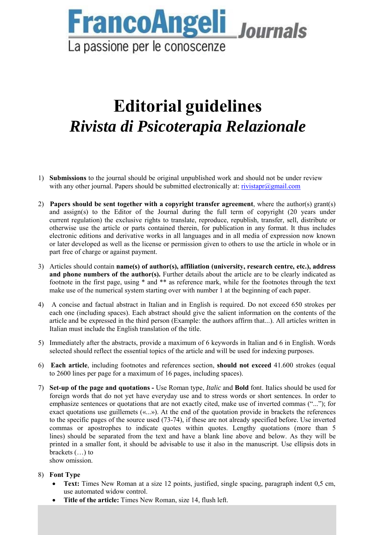

### **Editorial guidelines**  *Rivista di Psicoterapia Relazionale*

- 1) **Submissions** to the journal should be original unpublished work and should not be under review with any other journal. Papers should be submitted electronically at: rivistapr@gmail.com
- 2) **Papers should be sent together with a copyright transfer agreement**, where the author(s) grant(s) and assign(s) to the Editor of the Journal during the full term of copyright (20 years under current regulation) the exclusive rights to translate, reproduce, republish, transfer, sell, distribute or otherwise use the article or parts contained therein, for publication in any format. It thus includes electronic editions and derivative works in all languages and in all media of expression now known or later developed as well as the license or permission given to others to use the article in whole or in part free of charge or against payment.
- 3) Articles should contain **name(s) of author(s), affiliation (university, research centre, etc.), address and phone numbers of the author(s).** Further details about the article are to be clearly indicated as footnote in the first page, using \* and \*\* as reference mark, while for the footnotes through the text make use of the numerical system starting over with number 1 at the beginning of each paper.
- 4) A concise and factual abstract in Italian and in English is required. Do not exceed 650 strokes per each one (including spaces). Each abstract should give the salient information on the contents of the article and be expressed in the third person (Example: the authors affirm that...). All articles written in Italian must include the English translation of the title.
- 5) Immediately after the abstracts, provide a maximum of 6 keywords in Italian and 6 in English. Words selected should reflect the essential topics of the article and will be used for indexing purposes.
- 6) **Each article**, including footnotes and references section, **should not exceed** 41.600 strokes (equal to 2600 lines per page for a maximum of 16 pages, including spaces).
- 7) **Set-up of the page and quotations** Use Roman type, *Italic* and **Bold** font. Italics should be used for foreign words that do not yet have everyday use and to stress words or short sentences. In order to emphasize sentences or quotations that are not exactly cited, make use of inverted commas ("..."); for exact quotations use guillemets («...»). At the end of the quotation provide in brackets the references to the specific pages of the source used (73-74), if these are not already specified before. Use inverted commas or apostrophes to indicate quotes within quotes. Lengthy quotations (more than 5 lines) should be separated from the text and have a blank line above and below. As they will be printed in a smaller font, it should be advisable to use it also in the manuscript. Use ellipsis dots in brackets (…) to show omission.

8) **Font Type**

- **Text:** Times New Roman at a size 12 points, justified, single spacing, paragraph indent 0,5 cm, use automated widow control.
- **Title of the article:** Times New Roman, size 14, flush left.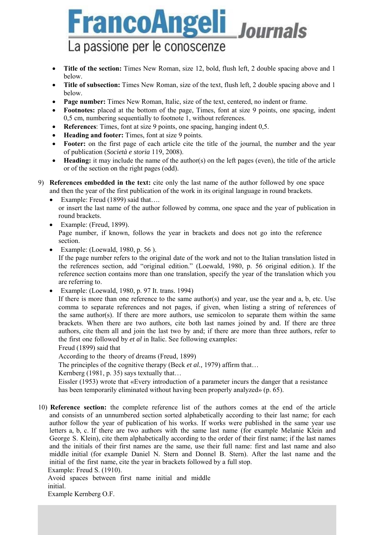# **FrancoAngeli** Journals La passione per le conoscenze

- Title of the section: Times New Roman, size 12, bold, flush left, 2 double spacing above and 1 below.
- Title of subsection: Times New Roman, size of the text, flush left, 2 double spacing above and 1 below.
- **Page number:** Times New Roman, Italic, size of the text, centered, no indent or frame.
- **Footnotes:** placed at the bottom of the page, Times, font at size 9 points, one spacing, indent 0,5 cm, numbering sequentially to footnote 1, without references.
- **References**: Times, font at size 9 points, one spacing, hanging indent 0,5.
- Heading and footer: Times, font at size 9 points.
- Footer: on the first page of each article cite the title of the journal, the number and the year of publication (*Società e storia* 119, 2008).
- **Heading:** it may include the name of the author(s) on the left pages (even), the title of the article or of the section on the right pages (odd).
- 9) **References embedded in the text:** cite only the last name of the author followed by one space and then the year of the first publication of the work in its original language in round brackets.
	- Example: Freud (1899) said that.... or insert the last name of the author followed by comma, one space and the year of publication in round brackets.
	- $\bullet$  Example: (Freud, 1899). Page number, if known, follows the year in brackets and does not go into the reference section.
	- Example: (Loewald, 1980, p. 56 ).

If the page number refers to the original date of the work and not to the Italian translation listed in the references section, add "original edition." (Loewald, 1980, p. 56 original edition.). If the reference section contains more than one translation, specify the year of the translation which you are referring to.

Example: (Loewald, 1980, p. 97 It. trans. 1994)

If there is more than one reference to the same author(s) and year, use the year and a, b, etc. Use comma to separate references and not pages, if given, when listing a string of references of the same author(s). If there are more authors, use semicolon to separate them within the same brackets. When there are two authors, cite both last names joined by and. If there are three authors, cite them all and join the last two by and; if there are more than three authors, refer to the first one followed by *et al* in Italic. See following examples:

Freud (1899) said that

According to the theory of dreams (Freud, 1899)

The principles of the cognitive therapy (Beck *et al.,* 1979) affirm that…

Kernberg (1981, p. 35) says textually that...

Eissler (1953) wrote that «Every introduction of a parameter incurs the danger that a resistance has been temporarily eliminated without having been properly analyzed» (p. 65).

10) **Reference section:** the complete reference list of the authors comes at the end of the article and consists of an unnumbered section sorted alphabetically according to their last name; for each author follow the year of publication of his works. If works were published in the same year use letters a, b, c. If there are two authors with the same last name (for example Melanie Klein and George S. Klein), cite them alphabetically according to the order of their first name; if the last names and the initials of their first names are the same, use their full name: first and last name and also middle initial (for example Daniel N. Stern and Donnel B. Stern). After the last name and the initial of the first name, cite the year in brackets followed by a full stop.

Example: Freud S. (1910).

Avoid spaces between first name initial and middle initial.

Example Kernberg O.F.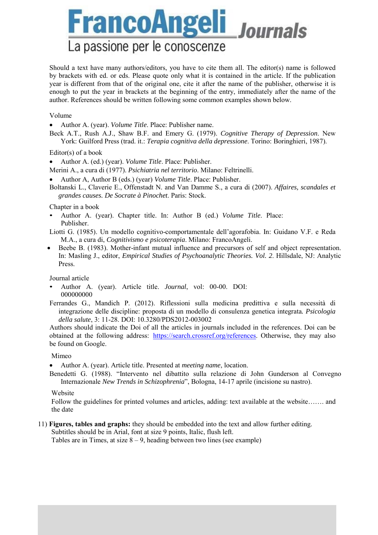**FrancoAngeli** Journals La passione per le conoscenze

Should a text have many authors/editors, you have to cite them all. The editor(s) name is followed by brackets with ed. or eds. Please quote only what it is contained in the article. If the publication year is different from that of the original one, cite it after the name of the publisher, otherwise it is enough to put the year in brackets at the beginning of the entry, immediately after the name of the author. References should be written following some common examples shown below.

#### Volume

- Author A. (year). *Volume Title*. Place: Publisher name.
- Beck A.T., Rush A.J., Shaw B.F. and Emery G. (1979). *Cognitive Therapy of Depression*. New York: Guilford Press (trad. it.: *Terapia cognitiva della depressione*. Torino: Boringhieri, 1987).

Editor(s) of a book

- Author A. (ed.) (year). *Volume Title*. Place: Publisher.
- Merini A., a cura di (1977). *Psichiatria nel territorio*. Milano: Feltrinelli.
- Author A, Author B (eds.) (year) *Volume Title*. Place: Publisher.
- Boltanski L., Claverie E., Offenstadt N. and Van Damme S., a cura di (2007). *Affaires, scandales et grandes causes. De Socrate à Pinochet*. Paris: Stock.

Chapter in a book

- Author A. (year). Chapter title. In: Author B (ed.) *Volume Title*. Place: Publisher.
- Liotti G. (1985). Un modello cognitivo-comportamentale dell'agorafobia. In: Guidano V.F. e Reda M.A., a cura di, *Cognitivismo e psicoterapia*. Milano: FrancoAngeli.
- Beebe B. (1983). Mother-infant mutual influence and precursors of self and object representation. In: Masling J., editor, *Empirical Studies of Psychoanalytic Theories. Vol. 2*. Hillsdale, NJ: Analytic Press.

Journal article

- Author A. (year). Article title. *Journal*, vol: 00-00. DOI: 000000000
- Ferrandes G., Mandich P. (2012). Riflessioni sulla medicina predittiva e sulla necessità di integrazione delle discipline: proposta di un modello di consulenza genetica integrata*. Psicologia della salute*, 3: 11-28. DOI: 10.3280/PDS2012-003002

Authors should indicate the Doi of all the articles in journals included in the references. Doi can be obtained at the following address: https://search.crossref.org/references. Otherwise, they may also be found on Google.

#### Mimeo

Author A. (year). Article title. Presented at *meeting name*, location.

Benedetti G. (1988). "Intervento nel dibattito sulla relazione di John Gunderson al Convegno Internazionale *New Trends in Schizophrenia*", Bologna, 14-17 aprile (incisione su nastro).

#### Website

Follow the guidelines for printed volumes and articles, adding: text available at the website……. and the date

11) **Figures, tables and graphs:** they should be embedded into the text and allow further editing.

Subtitles should be in Arial, font at size 9 points, Italic, flush left.

Tables are in Times, at size  $8 - 9$ , heading between two lines (see example)